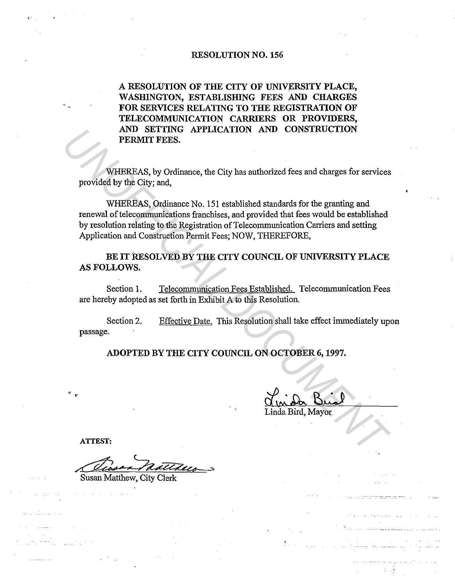# RESOLUTION NO. 156

A RESOLUTION OF THE CITY OF UNIVERSITY PLACE, WASHINGTON, ESTABLISHING FEES AND CHARGES FOR SERVICES RELATING TO THE REGISTRATION OF TELECOMMUNICATION CARRIERS OR PROVIDERS, AND SETTING APPLICATION AND CONSTRUCTION PERMIT FEES.

WHEREAS, by Ordinance, the City has authorized fees and charges for services provided by the City; and,

WHEREAS, Ordinance No. 151 established standards for the granting and renewal of telecommunications franchises, and provided that fees would be established by resolution relating to the Registration of Telecommunication Carriers and setting Application and Construction Permit Fees; NOW, THEREFORE, **EXAMPLE APPLICATION AND CONSTRUCTION**<br> **EXAMPLE EXAMPLE FRES.**<br>
WHEREAS, by Ordinance, the City has authorized fees and charges for services<br>
provided by the City; and,<br>
WHEREAS, Ordinance No. 151 established standards fo

BE IT RESOLVED BY THE CITY COUNCIL OF UNIVERSITY PLACE AS FOLLOWS.

Section 1. Telecommunication Fees Established. Telecommunication Fees are hereby adopted as set forth in Exhibit A to this Resolution.

Section 2. passage. Effective Date. This Resolution shall take effect immediately upon

ADOPTED BY THE CITY COUNCIL ON OCTOBER 6, 1997.

a Bird, Mayor

ATTEST:

Susan Matthew, City Clerk